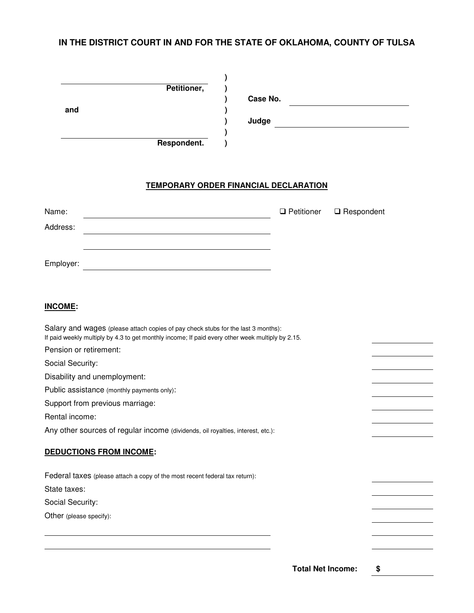## **IN THE DISTRICT COURT IN AND FOR THE STATE OF OKLAHOMA, COUNTY OF TULSA**

| and                             | Petitioner,<br>Respondent.                                                                                                                                                            | Case No.<br>Judge |                   | <u> 1989 - Johann Harry Harry Harry Harry Harry Harry Harry Harry Harry Harry Harry Harry Harry Harry Harry Harry</u> |  |
|---------------------------------|---------------------------------------------------------------------------------------------------------------------------------------------------------------------------------------|-------------------|-------------------|-----------------------------------------------------------------------------------------------------------------------|--|
|                                 | <b>TEMPORARY ORDER FINANCIAL DECLARATION</b>                                                                                                                                          |                   |                   |                                                                                                                       |  |
| Name:                           |                                                                                                                                                                                       |                   | $\Box$ Petitioner | $\square$ Respondent                                                                                                  |  |
| Address:                        |                                                                                                                                                                                       |                   |                   |                                                                                                                       |  |
|                                 |                                                                                                                                                                                       |                   |                   |                                                                                                                       |  |
| Employer:                       |                                                                                                                                                                                       |                   |                   |                                                                                                                       |  |
| <b>INCOME:</b>                  |                                                                                                                                                                                       |                   |                   |                                                                                                                       |  |
| Pension or retirement:          | Salary and wages (please attach copies of pay check stubs for the last 3 months):<br>If paid weekly multiply by 4.3 to get monthly income; If paid every other week multiply by 2.15. |                   |                   |                                                                                                                       |  |
| Social Security:                |                                                                                                                                                                                       |                   |                   |                                                                                                                       |  |
| Disability and unemployment:    |                                                                                                                                                                                       |                   |                   |                                                                                                                       |  |
|                                 | Public assistance (monthly payments only):                                                                                                                                            |                   |                   |                                                                                                                       |  |
| Support from previous marriage: |                                                                                                                                                                                       |                   |                   |                                                                                                                       |  |
| Rental income:                  |                                                                                                                                                                                       |                   |                   |                                                                                                                       |  |
|                                 | Any other sources of regular income (dividends, oil royalties, interest, etc.):                                                                                                       |                   |                   |                                                                                                                       |  |
| <b>DEDUCTIONS FROM INCOME:</b>  |                                                                                                                                                                                       |                   |                   |                                                                                                                       |  |
|                                 | Federal taxes (please attach a copy of the most recent federal tax return):                                                                                                           |                   |                   |                                                                                                                       |  |
| State taxes:                    |                                                                                                                                                                                       |                   |                   |                                                                                                                       |  |
| Social Security:                |                                                                                                                                                                                       |                   |                   |                                                                                                                       |  |
| Other (please specify):         |                                                                                                                                                                                       |                   |                   |                                                                                                                       |  |
|                                 |                                                                                                                                                                                       |                   |                   |                                                                                                                       |  |
|                                 |                                                                                                                                                                                       |                   |                   |                                                                                                                       |  |
|                                 |                                                                                                                                                                                       |                   |                   |                                                                                                                       |  |

**Total Net Income: \$**